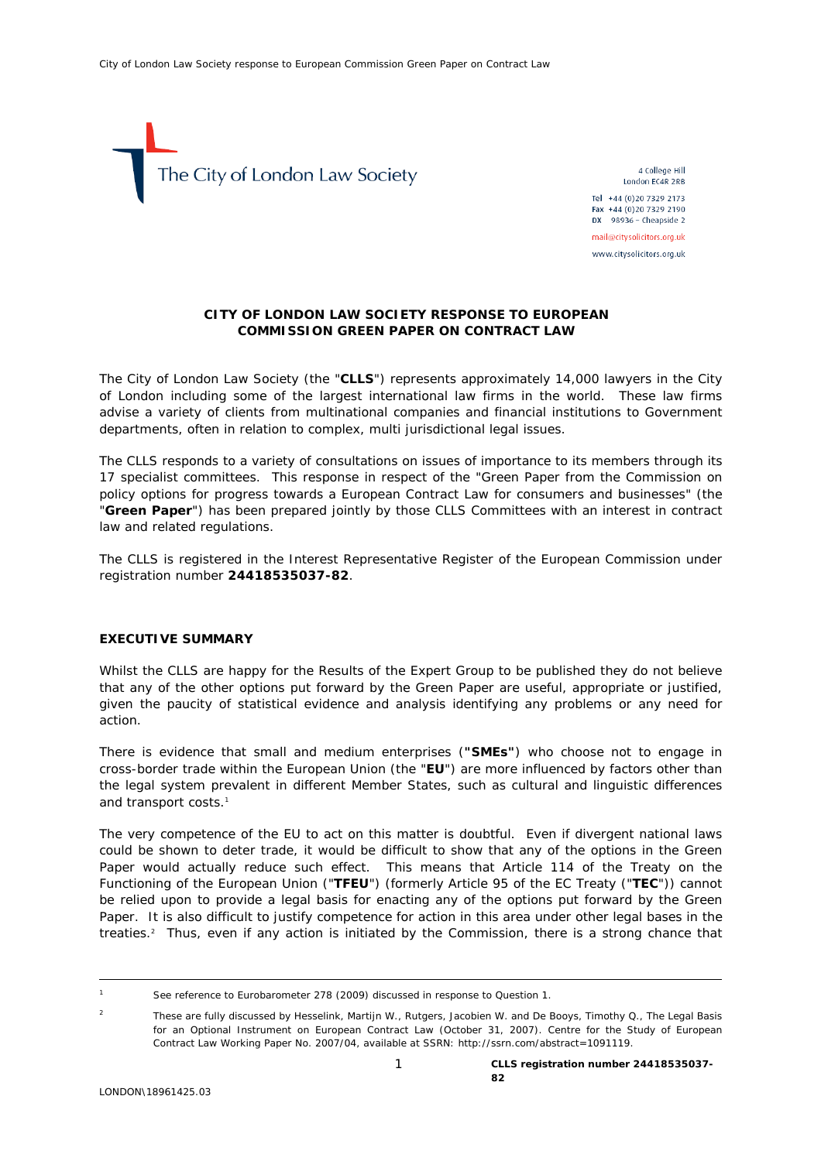

4 College Hill London EC4R 2RB Tel +44 (0)20 7329 2173 Fax +44 (0)20 7329 2190

 $DX$  98936 - Cheapside 2 mail@citysolicitors.org.uk

www.citysolicitors.org.uk

# **CITY OF LONDON LAW SOCIETY RESPONSE TO EUROPEAN COMMISSION GREEN PAPER ON CONTRACT LAW**

The City of London Law Society (the "**CLLS**") represents approximately 14,000 lawyers in the City of London including some of the largest international law firms in the world. These law firms advise a variety of clients from multinational companies and financial institutions to Government departments, often in relation to complex, multi jurisdictional legal issues.

The CLLS responds to a variety of consultations on issues of importance to its members through its 17 specialist committees. This response in respect of the "Green Paper from the Commission on policy options for progress towards a European Contract Law for consumers and businesses" (the "**Green Paper**") has been prepared jointly by those CLLS Committees with an interest in contract law and related regulations.

The CLLS is registered in the Interest Representative Register of the European Commission under registration number **24418535037-82**.

### **EXECUTIVE SUMMARY**

Whilst the CLLS are happy for the Results of the Expert Group to be published they do not believe that any of the other options put forward by the Green Paper are useful, appropriate or justified, given the paucity of statistical evidence and analysis identifying any problems or any need for action.

There is evidence that small and medium enterprises (**"SMEs"**) who choose not to engage in cross-border trade within the European Union (the "**EU**") are more influenced by factors other than the legal system prevalent in different Member States, such as cultural and linguistic differences and transport costs.<sup>[1](#page-0-0)</sup>

The very competence of the EU to act on this matter is doubtful. Even if divergent national laws could be shown to deter trade, it would be difficult to show that any of the options in the Green Paper would actually reduce such effect. This means that Article 114 of the Treaty on the Functioning of the European Union ("**TFEU**") (formerly Article 95 of the EC Treaty ("**TEC**")) cannot be relied upon to provide a legal basis for enacting any of the options put forward by the Green Paper. It is also difficult to justify competence for action in this area under other legal bases in the treaties.[2](#page-0-1) Thus, even if any action is initiated by the Commission, there is a strong chance that

<span id="page-0-0"></span> $\overline{1}$ See reference to Eurobarometer 278 (2009) discussed in response to Question 1.

<span id="page-0-1"></span> $\overline{2}$  These are fully discussed by Hesselink, Martijn W., Rutgers, Jacobien W. and De Booys, Timothy Q., The Legal Basis for an Optional Instrument on European Contract Law (October 31, 2007). Centre for the Study of European Contract Law Working Paper No. 2007/04, available at SSRN: http://ssrn.com/abstract=1091119.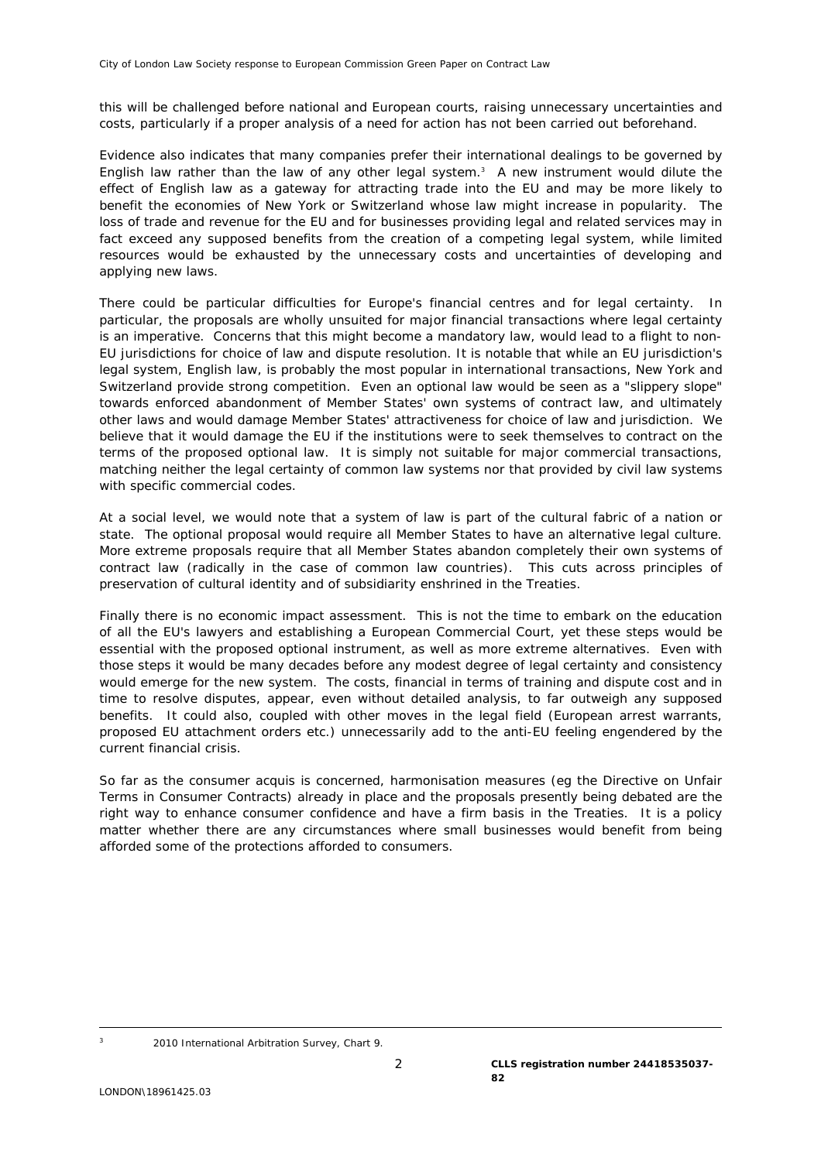this will be challenged before national and European courts, raising unnecessary uncertainties and costs, particularly if a proper analysis of a need for action has not been carried out beforehand.

Evidence also indicates that many companies prefer their international dealings to be governed by English law rather than the law of any other legal system. $3$  A new instrument would dilute the effect of English law as a gateway for attracting trade into the EU and may be more likely to benefit the economies of New York or Switzerland whose law might increase in popularity. The loss of trade and revenue for the EU and for businesses providing legal and related services may in fact exceed any supposed benefits from the creation of a competing legal system, while limited resources would be exhausted by the unnecessary costs and uncertainties of developing and applying new laws.

There could be particular difficulties for Europe's financial centres and for legal certainty. In particular, the proposals are wholly unsuited for major financial transactions where legal certainty is an imperative. Concerns that this might become a mandatory law, would lead to a flight to non-EU jurisdictions for choice of law and dispute resolution. It is notable that while an EU jurisdiction's legal system, English law, is probably the most popular in international transactions, New York and Switzerland provide strong competition. Even an optional law would be seen as a "slippery slope" towards enforced abandonment of Member States' own systems of contract law, and ultimately other laws and would damage Member States' attractiveness for choice of law and jurisdiction. We believe that it would damage the EU if the institutions were to seek themselves to contract on the terms of the proposed optional law. It is simply not suitable for major commercial transactions, matching neither the legal certainty of common law systems nor that provided by civil law systems with specific commercial codes.

At a social level, we would note that a system of law is part of the cultural fabric of a nation or state. The optional proposal would require all Member States to have an alternative legal culture. More extreme proposals require that all Member States abandon completely their own systems of contract law (radically in the case of common law countries). This cuts across principles of preservation of cultural identity and of subsidiarity enshrined in the Treaties.

Finally there is no economic impact assessment. This is not the time to embark on the education of all the EU's lawyers and establishing a European Commercial Court, yet these steps would be essential with the proposed optional instrument, as well as more extreme alternatives. Even with those steps it would be many decades before any modest degree of legal certainty and consistency would emerge for the new system. The costs, financial in terms of training and dispute cost and in time to resolve disputes, appear, even without detailed analysis, to far outweigh any supposed benefits. It could also, coupled with other moves in the legal field (European arrest warrants, proposed EU attachment orders etc.) unnecessarily add to the anti-EU feeling engendered by the current financial crisis.

So far as the consumer acquis is concerned, harmonisation measures (eg the Directive on Unfair Terms in Consumer Contracts) already in place and the proposals presently being debated are the right way to enhance consumer confidence and have a firm basis in the Treaties. It is a policy matter whether there are any circumstances where small businesses would benefit from being afforded some of the protections afforded to consumers.

<span id="page-1-0"></span><sup>-&</sup>lt;br>3

 <sup>2010</sup> International Arbitration Survey, Chart 9.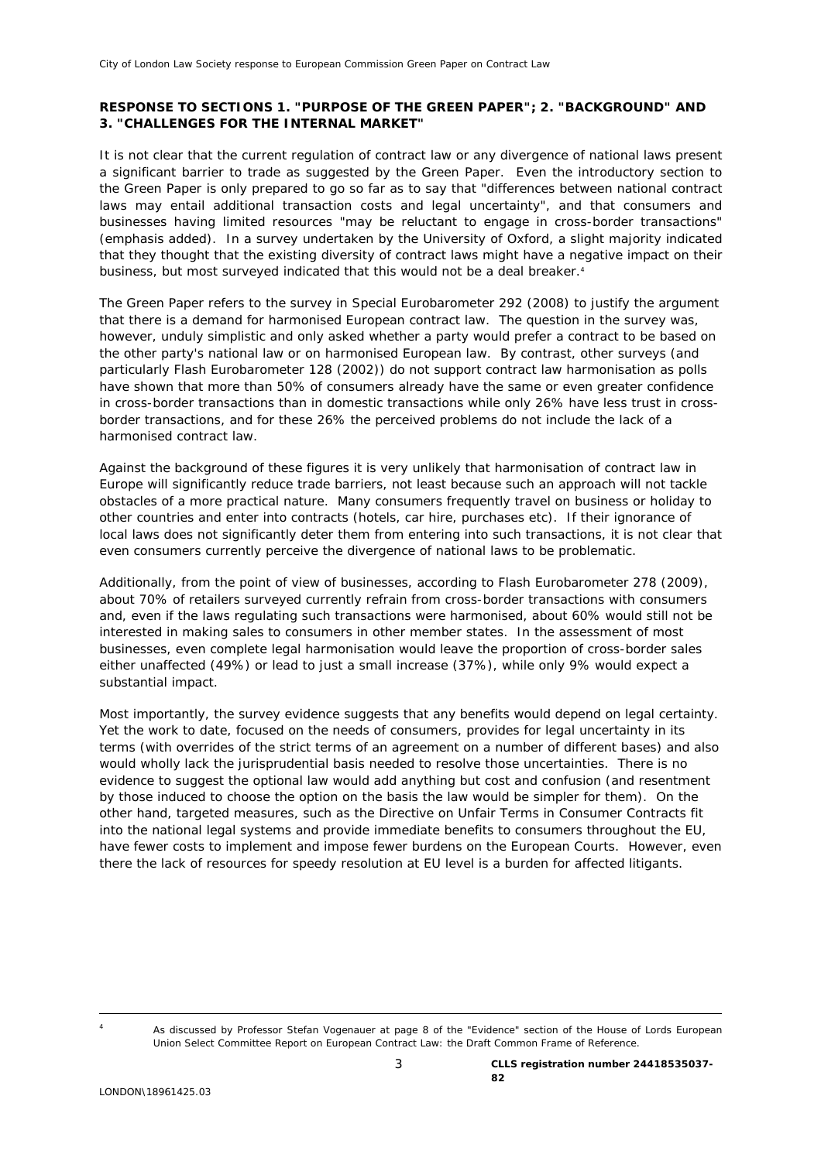# **RESPONSE TO SECTIONS 1. "PURPOSE OF THE GREEN PAPER"; 2. "BACKGROUND" AND 3. "CHALLENGES FOR THE INTERNAL MARKET"**

It is not clear that the current regulation of contract law or any divergence of national laws present a significant barrier to trade as suggested by the Green Paper. Even the introductory section to the Green Paper is only prepared to go so far as to say that "differences between national contract laws *may* entail additional transaction costs and legal uncertainty", and that consumers and businesses having limited resources "*may* be reluctant to engage in cross-border transactions" (emphasis added). In a survey undertaken by the University of Oxford, a slight majority indicated that they thought that the existing diversity of contract laws might have a negative impact on their business, but most surveyed indicated that this would not be a deal breaker.<sup>[4](#page-2-0)</sup>

The Green Paper refers to the survey in Special Eurobarometer 292 (2008) to justify the argument that there is a demand for harmonised European contract law. The question in the survey was, however, unduly simplistic and only asked whether a party would prefer a contract to be based on the other party's national law or on harmonised European law. By contrast, other surveys (and particularly Flash Eurobarometer 128 (2002)) do not support contract law harmonisation as polls have shown that more than 50% of consumers already have the same or even greater confidence in cross-border transactions than in domestic transactions while only 26% have less trust in crossborder transactions, and for these 26% the perceived problems do not include the lack of a harmonised contract law.

Against the background of these figures it is very unlikely that harmonisation of contract law in Europe will significantly reduce trade barriers, not least because such an approach will not tackle obstacles of a more practical nature. Many consumers frequently travel on business or holiday to other countries and enter into contracts (hotels, car hire, purchases etc). If their ignorance of local laws does not significantly deter them from entering into such transactions, it is not clear that even consumers currently perceive the divergence of national laws to be problematic.

Additionally, from the point of view of businesses, according to Flash Eurobarometer 278 (2009), about 70% of retailers surveyed currently refrain from cross-border transactions with consumers and, even if the laws regulating such transactions were harmonised, about 60% would still not be interested in making sales to consumers in other member states. In the assessment of most businesses, even complete legal harmonisation would leave the proportion of cross-border sales either unaffected (49%) or lead to just a small increase (37%), while only 9% would expect a substantial impact.

Most importantly, the survey evidence suggests that any benefits would depend on legal certainty. Yet the work to date, focused on the needs of consumers, provides for legal uncertainty in its terms (with overrides of the strict terms of an agreement on a number of different bases) and also would wholly lack the jurisprudential basis needed to resolve those uncertainties. There is no evidence to suggest the optional law would add anything but cost and confusion (and resentment by those induced to choose the option on the basis the law would be simpler for them). On the other hand, targeted measures, such as the Directive on Unfair Terms in Consumer Contracts fit into the national legal systems and provide immediate benefits to consumers throughout the EU, have fewer costs to implement and impose fewer burdens on the European Courts. However, even there the lack of resources for speedy resolution at EU level is a burden for affected litigants.

<span id="page-2-0"></span>

As discussed by Professor Stefan Vogenauer at page 8 of the "Evidence" section of the House of Lords European Union Select Committee Report on *European Contract Law: the Draft Common Frame of Reference*.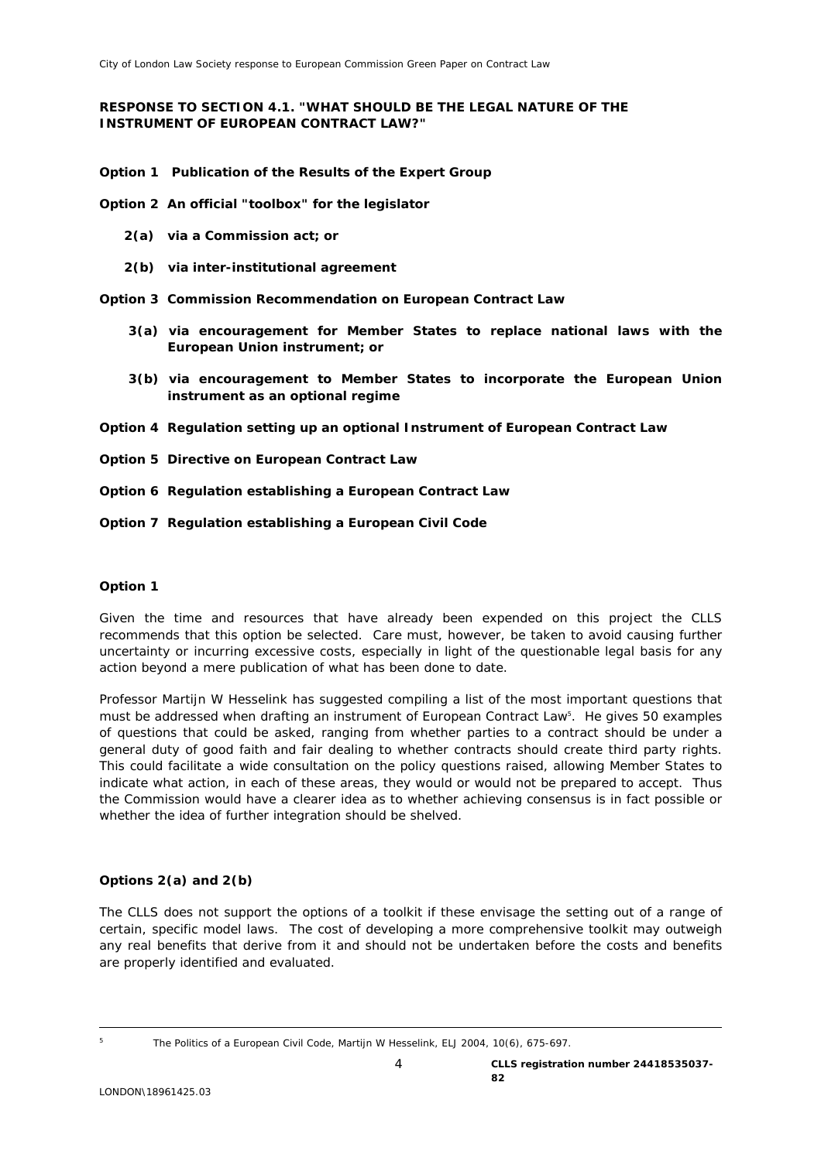# **RESPONSE TO SECTION 4.1. "WHAT SHOULD BE THE LEGAL NATURE OF THE INSTRUMENT OF EUROPEAN CONTRACT LAW?"**

**Option 1** *Publication of the Results of the Expert Group* 

**Option 2** *An official "toolbox" for the legislator* 

- **2(a)** *via a Commission act; or*
- **2(b)** *via inter-institutional agreement*
- **Option 3** *Commission Recommendation on European Contract Law*
	- **3(a)** *via encouragement for Member States to replace national laws with the European Union instrument; or*
	- **3(b)** *via encouragement to Member States to incorporate the European Union instrument as an optional regime*
- **Option 4** *Regulation setting up an optional Instrument of European Contract Law*
- **Option 5** *Directive on European Contract Law*
- **Option 6** *Regulation establishing a European Contract Law*
- **Option 7** *Regulation establishing a European Civil Code*

## **Option 1**

Given the time and resources that have already been expended on this project the CLLS recommends that this option be selected. Care must, however, be taken to avoid causing further uncertainty or incurring excessive costs, especially in light of the questionable legal basis for any action beyond a mere publication of what has been done to date.

Professor Martijn W Hesselink has suggested compiling a list of the most important questions that must be addressed when drafting an instrument of European Contract Law<sup>5</sup>[.](#page-3-0) He gives 50 examples of questions that could be asked, ranging from whether parties to a contract should be under a general duty of good faith and fair dealing to whether contracts should create third party rights. This could facilitate a wide consultation on the policy questions raised, allowing Member States to indicate what action, in each of these areas, they would or would not be prepared to accept. Thus the Commission would have a clearer idea as to whether achieving consensus is in fact possible or whether the idea of further integration should be shelved.

### **Options 2(a) and 2(b)**

The CLLS does not support the options of a toolkit if these envisage the setting out of a range of certain, specific model laws. The cost of developing a more comprehensive toolkit may outweigh any real benefits that derive from it and should not be undertaken before the costs and benefits are properly identified and evaluated.

*The Politics of a European Civil Code*, Martijn W Hesselink, ELJ 2004, 10(6), 675-697.

<span id="page-3-0"></span><sup>-&</sup>lt;br>5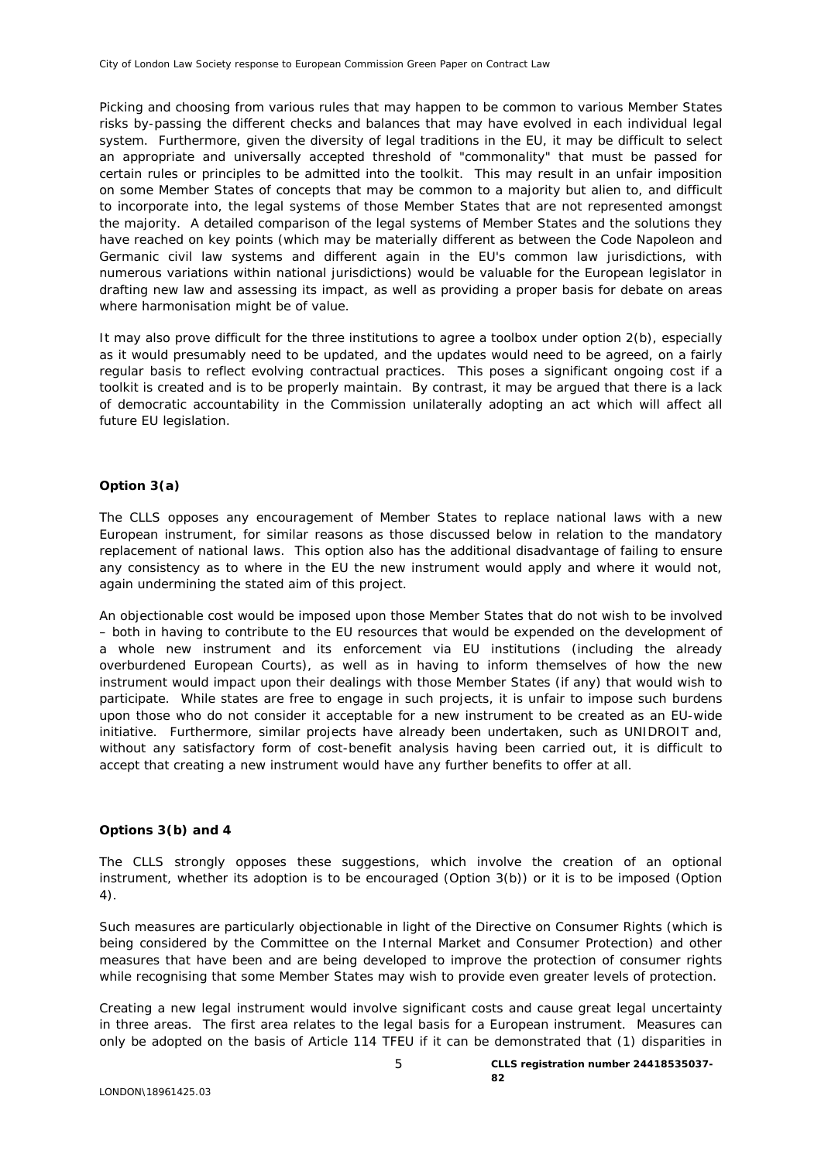Picking and choosing from various rules that may happen to be common to various Member States risks by-passing the different checks and balances that may have evolved in each individual legal system. Furthermore, given the diversity of legal traditions in the EU, it may be difficult to select an appropriate and universally accepted threshold of "commonality" that must be passed for certain rules or principles to be admitted into the toolkit. This may result in an unfair imposition on some Member States of concepts that may be common to a majority but alien to, and difficult to incorporate into, the legal systems of those Member States that are not represented amongst the majority. A detailed comparison of the legal systems of Member States and the solutions they have reached on key points (which may be materially different as between the Code Napoleon and Germanic civil law systems and different again in the EU's common law jurisdictions, with numerous variations within national jurisdictions) would be valuable for the European legislator in drafting new law and assessing its impact, as well as providing a proper basis for debate on areas where harmonisation might be of value.

It may also prove difficult for the three institutions to agree a toolbox under option 2(b), especially as it would presumably need to be updated, and the updates would need to be agreed, on a fairly regular basis to reflect evolving contractual practices. This poses a significant ongoing cost if a toolkit is created and is to be properly maintain. By contrast, it may be argued that there is a lack of democratic accountability in the Commission unilaterally adopting an act which will affect all future EU legislation.

### **Option 3(a)**

The CLLS opposes any encouragement of Member States to replace national laws with a new European instrument, for similar reasons as those discussed below in relation to the mandatory replacement of national laws. This option also has the additional disadvantage of failing to ensure any consistency as to where in the EU the new instrument would apply and where it would not, again undermining the stated aim of this project.

An objectionable cost would be imposed upon those Member States that do not wish to be involved – both in having to contribute to the EU resources that would be expended on the development of a whole new instrument and its enforcement via EU institutions (including the already overburdened European Courts), as well as in having to inform themselves of how the new instrument would impact upon their dealings with those Member States (if any) that would wish to participate. While states are free to engage in such projects, it is unfair to impose such burdens upon those who do not consider it acceptable for a new instrument to be created as an EU-wide initiative. Furthermore, similar projects have already been undertaken, such as UNIDROIT and, without any satisfactory form of cost-benefit analysis having been carried out, it is difficult to accept that creating a new instrument would have any further benefits to offer at all.

### **Options 3(b) and 4**

The CLLS strongly opposes these suggestions, which involve the creation of an optional instrument, whether its adoption is to be encouraged (Option 3(b)) or it is to be imposed (Option 4).

Such measures are particularly objectionable in light of the Directive on Consumer Rights (which is being considered by the Committee on the Internal Market and Consumer Protection) and other measures that have been and are being developed to improve the protection of consumer rights while recognising that some Member States may wish to provide even greater levels of protection.

Creating a new legal instrument would involve significant costs and cause great legal uncertainty in three areas. The first area relates to the legal basis for a European instrument. Measures can only be adopted on the basis of Article 114 TFEU if it can be demonstrated that (1) disparities in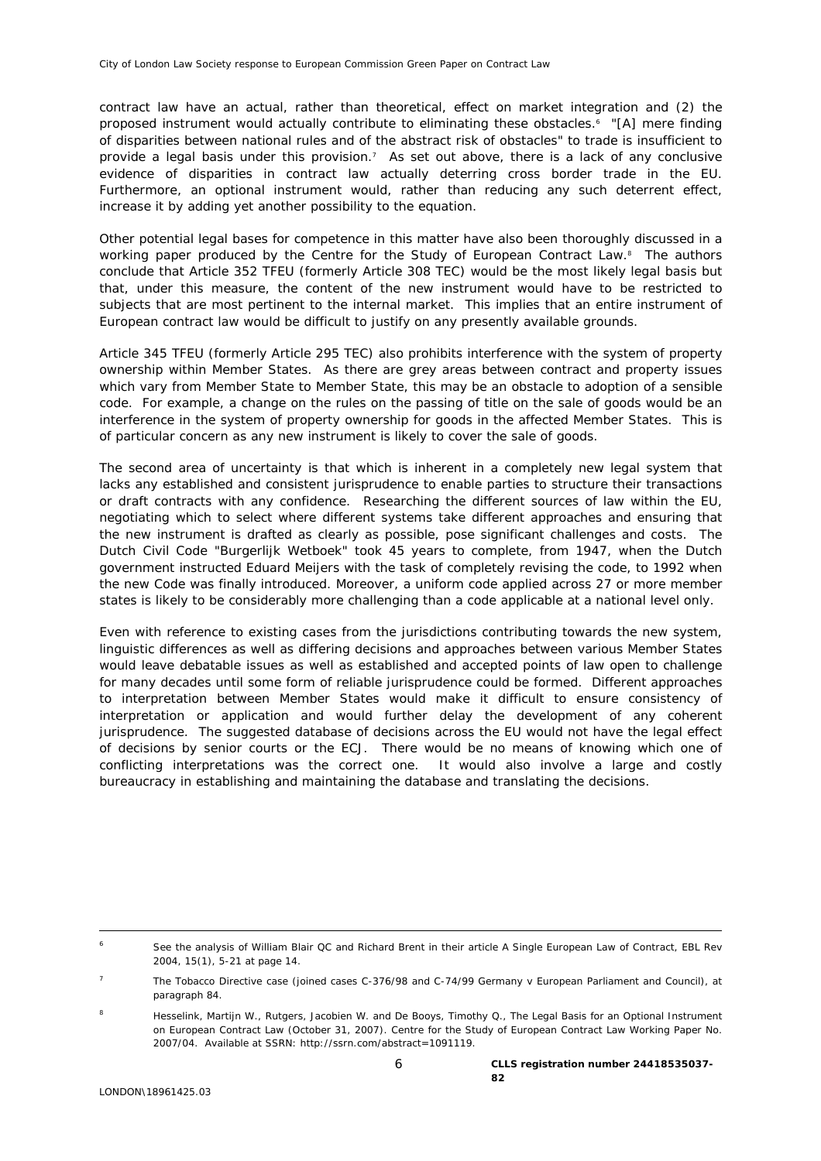contract law have an actual, rather than theoretical, effect on market integration and (2) the proposed instrument would actually contribute to eliminating these obstacles.[6](#page-5-0) "[A] *mere finding of disparities between national rules and of the abstract risk of obstacles"* to trade is insufficient to provide a legal basis under this provision.<sup>7</sup> As set out above, there is a lack of any conclusive evidence of disparities in contract law actually deterring cross border trade in the EU. Furthermore, an optional instrument would, rather than reducing any such deterrent effect, increase it by adding yet another possibility to the equation.

Other potential legal bases for competence in this matter have also been thoroughly discussed in a working paper produced by the Centre for the Study of European Contract Law.<sup>[8](#page-5-2)</sup> The authors conclude that Article 352 TFEU (formerly Article 308 TEC) would be the most likely legal basis but that, under this measure, the content of the new instrument would have to be restricted to subjects that are most pertinent to the internal market. This implies that an entire instrument of European contract law would be difficult to justify on any presently available grounds.

Article 345 TFEU (formerly Article 295 TEC) also prohibits interference with the system of property ownership within Member States. As there are grey areas between contract and property issues which vary from Member State to Member State, this may be an obstacle to adoption of a sensible code. For example, a change on the rules on the passing of title on the sale of goods would be an interference in the system of property ownership for goods in the affected Member States. This is of particular concern as any new instrument is likely to cover the sale of goods.

The second area of uncertainty is that which is inherent in a completely new legal system that lacks any established and consistent jurisprudence to enable parties to structure their transactions or draft contracts with any confidence. Researching the different sources of law within the EU, negotiating which to select where different systems take different approaches and ensuring that the new instrument is drafted as clearly as possible, pose significant challenges and costs. The Dutch Civil Code "Burgerlijk Wetboek" took 45 years to complete, from 1947, when the Dutch government instructed Eduard Meijers with the task of completely revising the code, to 1992 when the new Code was finally introduced. Moreover, a uniform code applied across 27 or more member states is likely to be considerably more challenging than a code applicable at a national level only.

Even with reference to existing cases from the jurisdictions contributing towards the new system, linguistic differences as well as differing decisions and approaches between various Member States would leave debatable issues as well as established and accepted points of law open to challenge for many decades until some form of reliable jurisprudence could be formed. Different approaches to interpretation between Member States would make it difficult to ensure consistency of interpretation or application and would further delay the development of any coherent jurisprudence. The suggested database of decisions across the EU would not have the legal effect of decisions by senior courts or the ECJ. There would be no means of knowing which one of conflicting interpretations was the correct one. It would also involve a large and costly bureaucracy in establishing and maintaining the database and translating the decisions.

<span id="page-5-0"></span> <sup>6</sup> See the analysis of William Blair QC and Richard Brent in their article *A Single European Law of Contract*, EBL Rev 2004, 15(1), 5-21 at page 14.

<span id="page-5-1"></span><sup>7</sup> The Tobacco Directive case (joined cases C-376/98 and C-74/99 *Germany v European Parliament and Council*), at paragraph 84.

<span id="page-5-2"></span>Hesselink, Martijn W., Rutgers, Jacobien W. and De Booys, Timothy Q., The Legal Basis for an Optional Instrument on European Contract Law (October 31, 2007). Centre for the Study of European Contract Law Working Paper No. 2007/04. Available at SSRN: http://ssrn.com/abstract=1091119.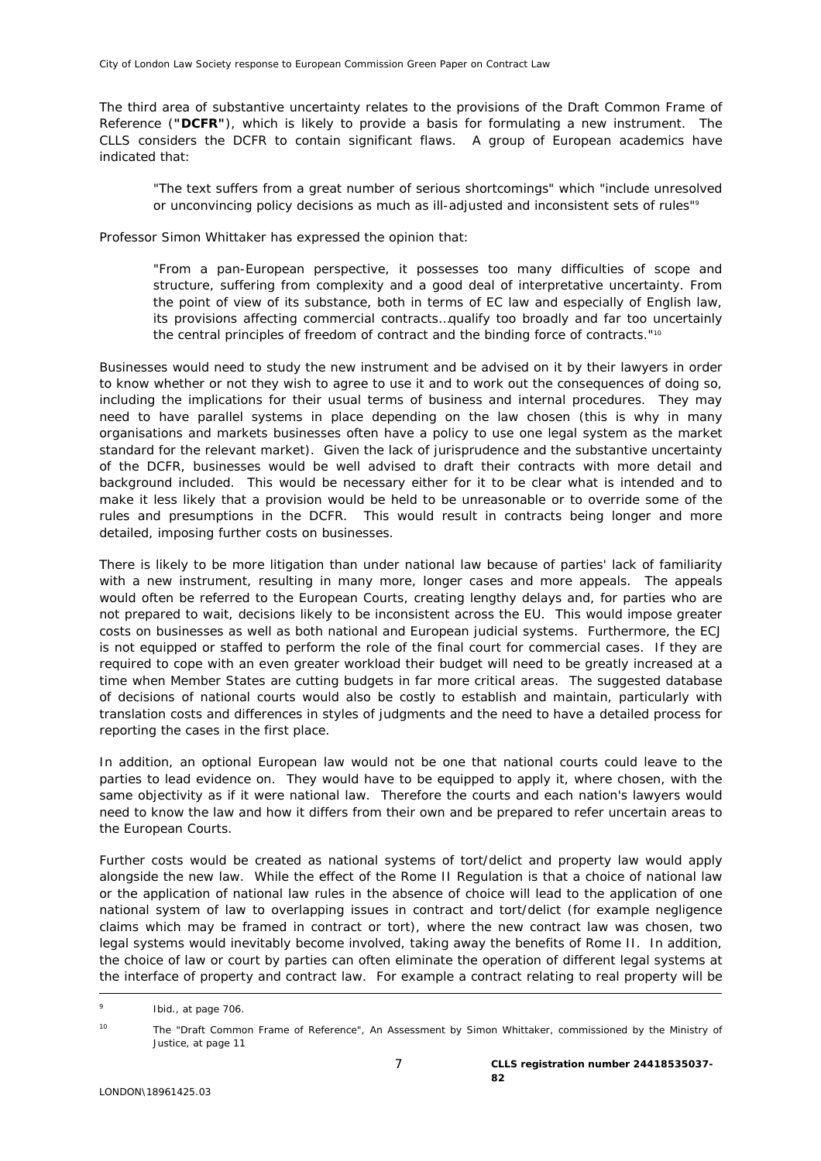The third area of substantive uncertainty relates to the provisions of the Draft Common Frame of Reference (**"DCFR"**), which is likely to provide a basis for formulating a new instrument. The CLLS considers the DCFR to contain significant flaws. A group of European academics have indicated that:

"*The text suffers from a great number of serious shortcomings*" which "*include unresolved or unconvincing policy decisions as much as ill-adjusted and inconsistent sets of rules*"*[9](#page-6-0)*

Professor Simon Whittaker has expressed the opinion that:

"*From a pan-European perspective, it possesses too many difficulties of scope and structure, suffering from complexity and a good deal of interpretative uncertainty. From the point of view of its substance, both in terms of EC law and especially of English law, its provisions affecting commercial contracts…qualify too broadly and far too uncertainly the central principles of freedom of contract and the binding force of contracts.*"[10](#page-6-1)

Businesses would need to study the new instrument and be advised on it by their lawyers in order to know whether or not they wish to agree to use it and to work out the consequences of doing so, including the implications for their usual terms of business and internal procedures. They may need to have parallel systems in place depending on the law chosen (this is why in many organisations and markets businesses often have a policy to use one legal system as the market standard for the relevant market). Given the lack of jurisprudence and the substantive uncertainty of the DCFR, businesses would be well advised to draft their contracts with more detail and background included. This would be necessary either for it to be clear what is intended and to make it less likely that a provision would be held to be unreasonable or to override some of the rules and presumptions in the DCFR. This would result in contracts being longer and more detailed, imposing further costs on businesses.

There is likely to be more litigation than under national law because of parties' lack of familiarity with a new instrument, resulting in many more, longer cases and more appeals. The appeals would often be referred to the European Courts, creating lengthy delays and, for parties who are not prepared to wait, decisions likely to be inconsistent across the EU. This would impose greater costs on businesses as well as both national and European judicial systems. Furthermore, the ECJ is not equipped or staffed to perform the role of the final court for commercial cases. If they are required to cope with an even greater workload their budget will need to be greatly increased at a time when Member States are cutting budgets in far more critical areas. The suggested database of decisions of national courts would also be costly to establish and maintain, particularly with translation costs and differences in styles of judgments and the need to have a detailed process for reporting the cases in the first place.

In addition, an optional European law would not be one that national courts could leave to the parties to lead evidence on. They would have to be equipped to apply it, where chosen, with the same objectivity as if it were national law. Therefore the courts and each nation's lawyers would need to know the law and how it differs from their own and be prepared to refer uncertain areas to the European Courts.

Further costs would be created as national systems of tort/delict and property law would apply alongside the new law. While the effect of the Rome II Regulation is that a choice of national law or the application of national law rules in the absence of choice will lead to the application of one national system of law to overlapping issues in contract and tort/delict (for example negligence claims which may be framed in contract or tort), where the new contract law was chosen, two legal systems would inevitably become involved, taking away the benefits of Rome II. In addition, the choice of law or court by parties can often eliminate the operation of different legal systems at the interface of property and contract law. For example a contract relating to real property will be

<span id="page-6-0"></span><sup>-&</sup>lt;br>9 Ibid., at page 706.

<span id="page-6-1"></span><sup>10</sup> *The "Draft Common Frame of Reference", An Assessment* by Simon Whittaker, commissioned by the Ministry of Justice, at page 11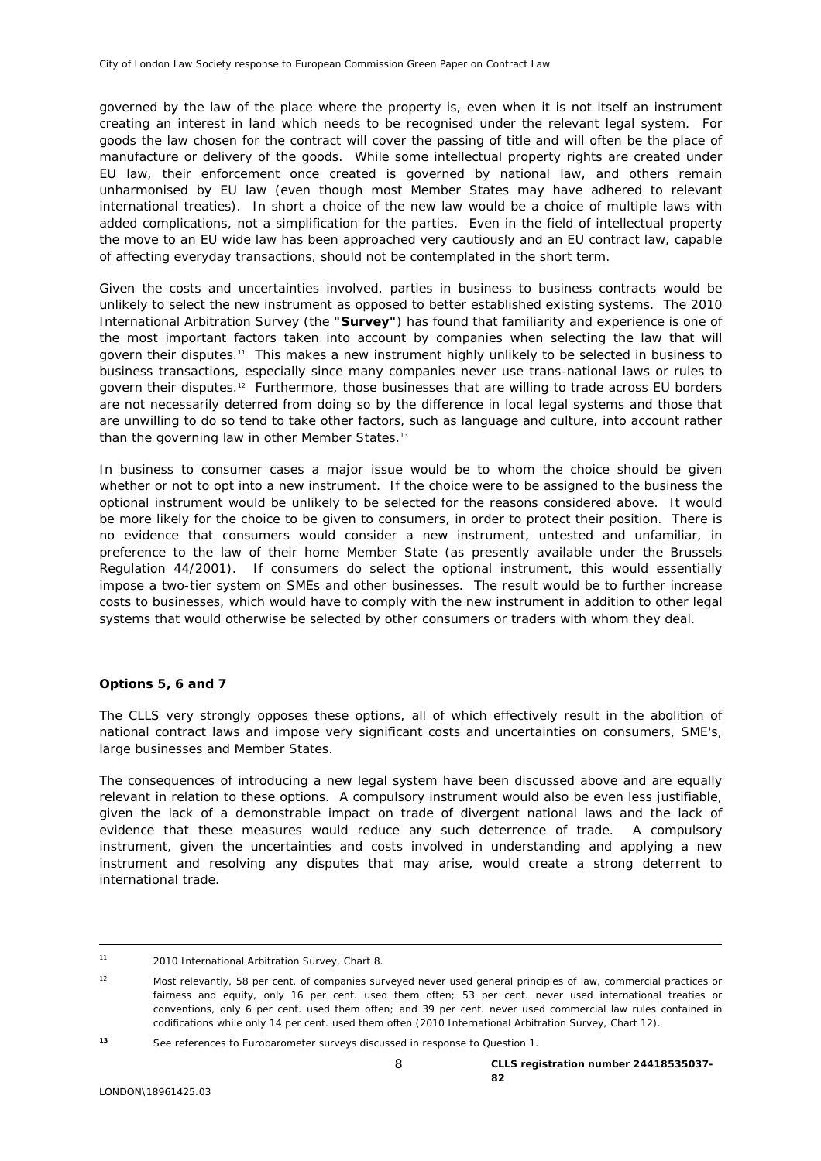governed by the law of the place where the property is, even when it is not itself an instrument creating an interest in land which needs to be recognised under the relevant legal system. For goods the law chosen for the contract will cover the passing of title and will often be the place of manufacture or delivery of the goods. While some intellectual property rights are created under EU law, their enforcement once created is governed by national law, and others remain unharmonised by EU law (even though most Member States may have adhered to relevant international treaties). In short a choice of the new law would be a choice of multiple laws with added complications, not a simplification for the parties. Even in the field of intellectual property the move to an EU wide law has been approached very cautiously and an EU contract law, capable of affecting everyday transactions, should not be contemplated in the short term.

Given the costs and uncertainties involved, parties in business to business contracts would be unlikely to select the new instrument as opposed to better established existing systems. The 2010 International Arbitration Survey (the **"Survey"**) has found that familiarity and experience is one of the most important factors taken into account by companies when selecting the law that will govern their disputes.[11](#page-7-0) This makes a new instrument highly unlikely to be selected in business to business transactions, especially since many companies never use trans-national laws or rules to govern their disputes.[12](#page-7-1) Furthermore, those businesses that are willing to trade across EU borders are not necessarily deterred from doing so by the difference in local legal systems and those that are unwilling to do so tend to take other factors, such as language and culture, into account rather than the governing law in other Member States.<sup>13</sup>

In business to consumer cases a major issue would be to whom the choice should be given whether or not to opt into a new instrument. If the choice were to be assigned to the business the optional instrument would be unlikely to be selected for the reasons considered above. It would be more likely for the choice to be given to consumers, in order to protect their position. There is no evidence that consumers would consider a new instrument, untested and unfamiliar, in preference to the law of their home Member State (as presently available under the Brussels Regulation 44/2001). If consumers do select the optional instrument, this would essentially impose a two-tier system on SMEs and other businesses. The result would be to further increase costs to businesses, which would have to comply with the new instrument in addition to other legal systems that would otherwise be selected by other consumers or traders with whom they deal.

# **Options 5, 6 and 7**

The CLLS very strongly opposes these options, all of which effectively result in the abolition of national contract laws and impose very significant costs and uncertainties on consumers, SME's, large businesses and Member States.

The consequences of introducing a new legal system have been discussed above and are equally relevant in relation to these options. A compulsory instrument would also be even less justifiable, given the lack of a demonstrable impact on trade of divergent national laws and the lack of evidence that these measures would reduce any such deterrence of trade. A compulsory instrument, given the uncertainties and costs involved in understanding and applying a new instrument and resolving any disputes that may arise, would create a strong deterrent to international trade.

<span id="page-7-0"></span> <sup>11 2010</sup> International Arbitration Survey, Chart 8.

<span id="page-7-1"></span><sup>12</sup> Most relevantly, 58 per cent. of companies surveyed never used general principles of law, commercial practices or fairness and equity, only 16 per cent. used them often; 53 per cent. never used international treaties or conventions, only 6 per cent. used them often; and 39 per cent. never used commercial law rules contained in codifications while only 14 per cent. used them often (2010 International Arbitration Survey, Chart 12).

<span id="page-7-2"></span>*<sup>13</sup>* See references to Eurobarometer surveys discussed in response to Question 1.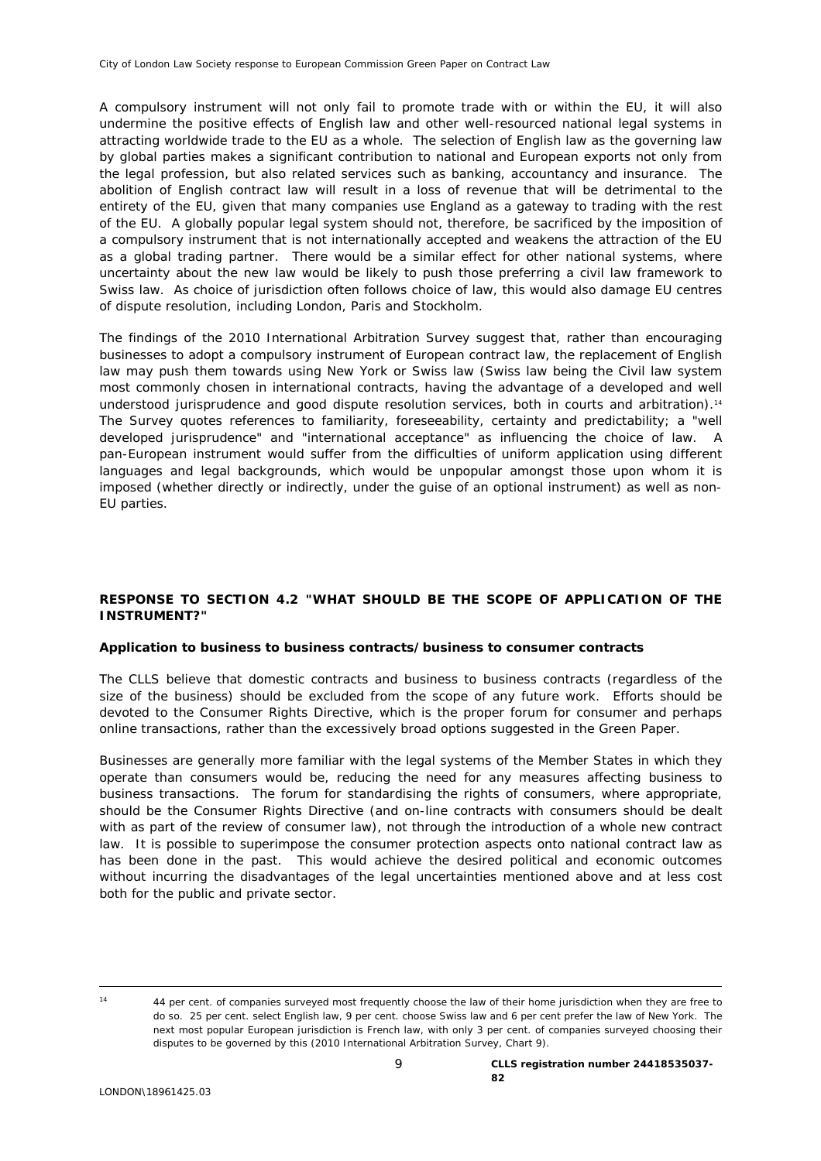A compulsory instrument will not only fail to promote trade with or within the EU, it will also undermine the positive effects of English law and other well-resourced national legal systems in attracting worldwide trade to the EU as a whole. The selection of English law as the governing law by global parties makes a significant contribution to national and European exports not only from the legal profession, but also related services such as banking, accountancy and insurance. The abolition of English contract law will result in a loss of revenue that will be detrimental to the entirety of the EU, given that many companies use England as a gateway to trading with the rest of the EU. A globally popular legal system should not, therefore, be sacrificed by the imposition of a compulsory instrument that is not internationally accepted and weakens the attraction of the EU as a global trading partner. There would be a similar effect for other national systems, where uncertainty about the new law would be likely to push those preferring a civil law framework to Swiss law. As choice of jurisdiction often follows choice of law, this would also damage EU centres of dispute resolution, including London, Paris and Stockholm.

The findings of the 2010 International Arbitration Survey suggest that, rather than encouraging businesses to adopt a compulsory instrument of European contract law, the replacement of English law may push them towards using New York or Swiss law (Swiss law being the Civil law system most commonly chosen in international contracts, having the advantage of a developed and well understood jurisprudence and good dispute resolution services, both in courts and arbitration).[14](#page-8-0)  The Survey quotes references to familiarity, foreseeability, certainty and predictability; a "well developed jurisprudence" and "international acceptance" as influencing the choice of law. A pan-European instrument would suffer from the difficulties of uniform application using different languages and legal backgrounds, which would be unpopular amongst those upon whom it is imposed (whether directly or indirectly, under the guise of an optional instrument) as well as non-EU parties.

# **RESPONSE TO SECTION 4.2 "WHAT SHOULD BE THE SCOPE OF APPLICATION OF THE INSTRUMENT?"**

### **Application to business to business contracts/business to consumer contracts**

The CLLS believe that domestic contracts and business to business contracts (regardless of the size of the business) should be excluded from the scope of any future work. Efforts should be devoted to the Consumer Rights Directive, which is the proper forum for consumer and perhaps online transactions, rather than the excessively broad options suggested in the Green Paper.

Businesses are generally more familiar with the legal systems of the Member States in which they operate than consumers would be, reducing the need for any measures affecting business to business transactions. The forum for standardising the rights of consumers, where appropriate, should be the Consumer Rights Directive (and on-line contracts with consumers should be dealt with as part of the review of consumer law), not through the introduction of a whole new contract law. It is possible to superimpose the consumer protection aspects onto national contract law as has been done in the past. This would achieve the desired political and economic outcomes without incurring the disadvantages of the legal uncertainties mentioned above and at less cost both for the public and private sector.

<span id="page-8-0"></span>

 <sup>14</sup> 44 per cent. of companies surveyed most frequently choose the law of their home jurisdiction when they are free to do so. 25 per cent. select English law, 9 per cent. choose Swiss law and 6 per cent prefer the law of New York. The next most popular European jurisdiction is French law, with only 3 per cent. of companies surveyed choosing their disputes to be governed by this (2010 International Arbitration Survey, Chart 9).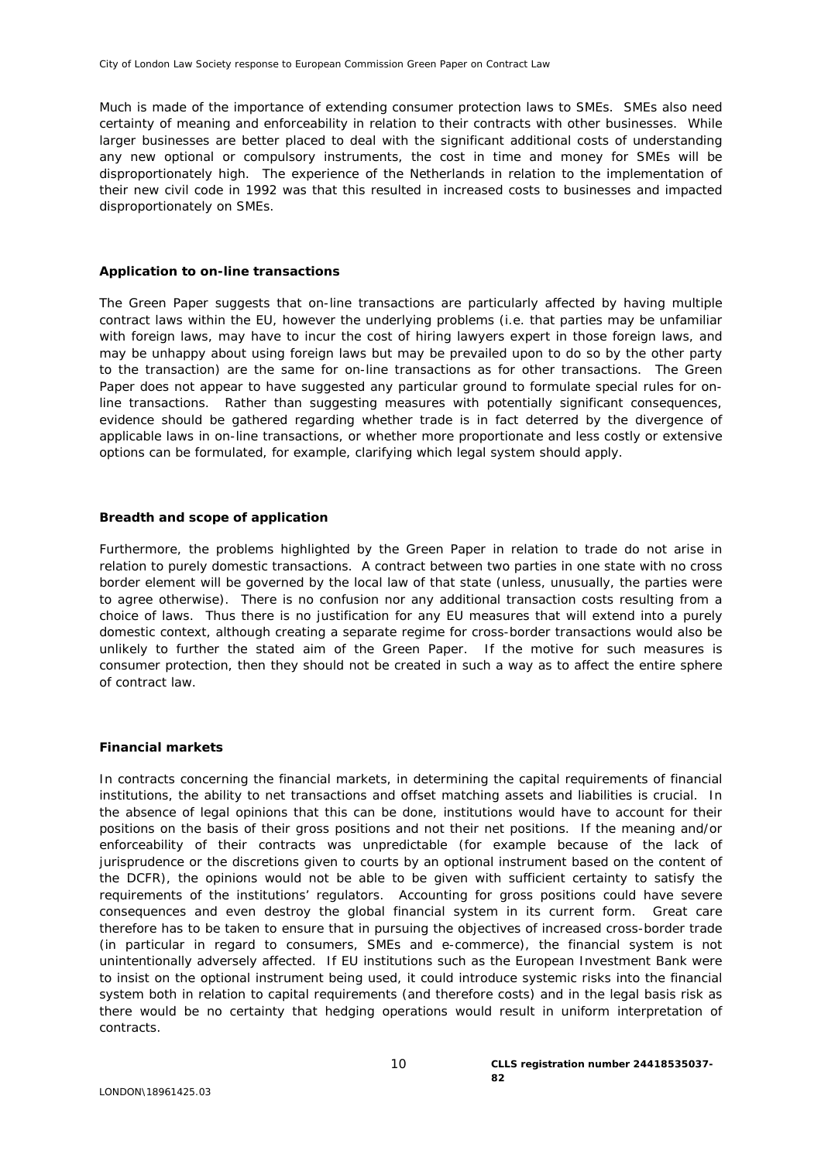Much is made of the importance of extending consumer protection laws to SMEs. SMEs also need certainty of meaning and enforceability in relation to their contracts with other businesses. While larger businesses are better placed to deal with the significant additional costs of understanding any new optional or compulsory instruments, the cost in time and money for SMEs will be disproportionately high. The experience of the Netherlands in relation to the implementation of their new civil code in 1992 was that this resulted in increased costs to businesses and impacted disproportionately on SMEs.

### **Application to on-line transactions**

The Green Paper suggests that on-line transactions are particularly affected by having multiple contract laws within the EU, however the underlying problems (i.e. that parties may be unfamiliar with foreign laws, may have to incur the cost of hiring lawyers expert in those foreign laws, and may be unhappy about using foreign laws but may be prevailed upon to do so by the other party to the transaction) are the same for on-line transactions as for other transactions. The Green Paper does not appear to have suggested any particular ground to formulate special rules for online transactions. Rather than suggesting measures with potentially significant consequences, evidence should be gathered regarding whether trade is in fact deterred by the divergence of applicable laws in on-line transactions, or whether more proportionate and less costly or extensive options can be formulated, for example, clarifying *which* legal system should apply.

#### **Breadth and scope of application**

Furthermore, the problems highlighted by the Green Paper in relation to trade do not arise in relation to purely domestic transactions. A contract between two parties in one state with no cross border element will be governed by the local law of that state (unless, unusually, the parties were to agree otherwise). There is no confusion nor any additional transaction costs resulting from a choice of laws. Thus there is no justification for any EU measures that will extend into a purely domestic context, although creating a separate regime for cross-border transactions would also be unlikely to further the stated aim of the Green Paper. If the motive for such measures is consumer protection, then they should not be created in such a way as to affect the entire sphere of contract law.

### **Financial markets**

In contracts concerning the financial markets, in determining the capital requirements of financial institutions, the ability to net transactions and offset matching assets and liabilities is crucial. In the absence of legal opinions that this can be done, institutions would have to account for their positions on the basis of their gross positions and not their net positions. If the meaning and/or enforceability of their contracts was unpredictable (for example because of the lack of jurisprudence or the discretions given to courts by an optional instrument based on the content of the DCFR), the opinions would not be able to be given with sufficient certainty to satisfy the requirements of the institutions' regulators. Accounting for gross positions could have severe consequences and even destroy the global financial system in its current form. Great care therefore has to be taken to ensure that in pursuing the objectives of increased cross-border trade (in particular in regard to consumers, SMEs and e-commerce), the financial system is not unintentionally adversely affected. If EU institutions such as the European Investment Bank were to insist on the optional instrument being used, it could introduce systemic risks into the financial system both in relation to capital requirements (and therefore costs) and in the legal basis risk as there would be no certainty that hedging operations would result in uniform interpretation of contracts.